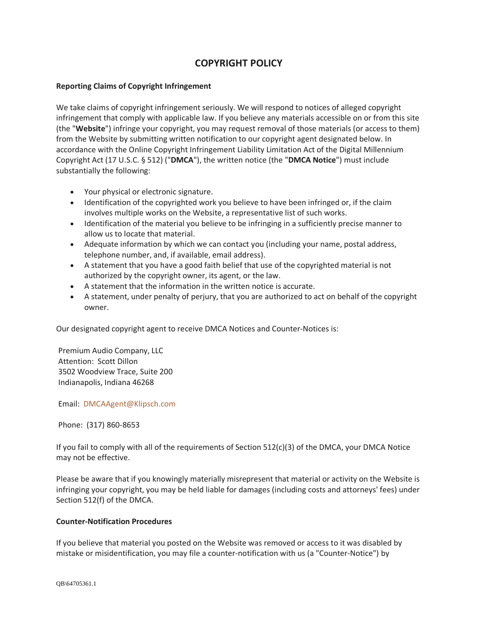## **COPYRIGHT POLICY**

## **Reporting Claims of Copyright Infringement**

We take claims of copyright infringement seriously. We will respond to notices of alleged copyright infringement that comply with applicable law. If you believe any materials accessible on or from this site (the "**Website**") infringe your copyright, you may request removal of those materials (or access to them) from the Website by submitting written notification to our copyright agent designated below. In accordance with the Online Copyright Infringement Liability Limitation Act of the Digital Millennium Copyright Act (17 U.S.C. § 512) ("**DMCA**"), the written notice (the "**DMCA Notice**") must include substantially the following:

- Your physical or electronic signature.
- Identification of the copyrighted work you believe to have been infringed or, if the claim involves multiple works on the Website, a representative list of such works.
- Identification of the material you believe to be infringing in a sufficiently precise manner to allow us to locate that material.
- Adequate information by which we can contact you (including your name, postal address, telephone number, and, if available, email address).
- A statement that you have a good faith belief that use of the copyrighted material is not authorized by the copyright owner, its agent, or the law.
- A statement that the information in the written notice is accurate.
- A statement, under penalty of perjury, that you are authorized to act on behalf of the copyright owner.

Our designated copyright agent to receive DMCA Notices and Counter-Notices is:

Premium Audio Company, LLC Attention: Scott Dillon 3502 Woodview Trace, Suite 200 Indianapolis, Indiana 46268

Email: [DMCAAgent@Klipsch.com](mailto:DMCAAgent@Klipsch.com)

Phone: (317) 860-8653

If you fail to comply with all of the requirements of Section 512(c)(3) of the DMCA, your DMCA Notice may not be effective.

Please be aware that if you knowingly materially misrepresent that material or activity on the Website is infringing your copyright, you may be held liable for damages (including costs and attorneys' fees) under Section 512(f) of the DMCA.

## **Counter-Notification Procedures**

If you believe that material you posted on the Website was removed or access to it was disabled by mistake or misidentification, you may file a counter-notification with us (a "Counter-Notice") by